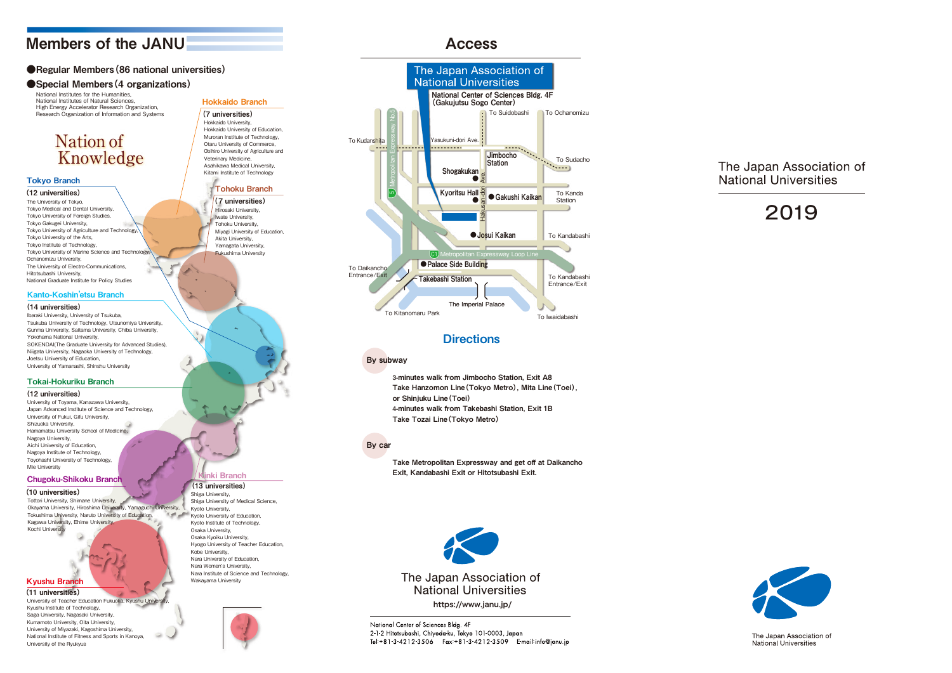# 2 0 1 9



The Japan Association of **National Universities** 

## Members of the JANU

## ●Regular Members (86 national universities)

## ● Special Members (4 organizations)

# **Nation of Knowledge**

National Institutes for the Humanities, National Institutes of Natural Sciences, High Energy Accelerator Research Organization, Research Organization of Information and Systems

## Kyushu Branch

## Chugoku-Shikoku Branch

(11 universities)

## (10 universities)

University of Teacher Education Fukuoka, Kyushu Univ Kyushu Institute of Technology, Saga University, Nagasaki University, Kumamoto University, Oita University, University of Miyazaki, Kagoshima University, National Institute of Fitness and Sports in Kanoya, University of the Ryukyus

## (13 universities)

Shiga University, Shiga University of Medical Science, Kyoto University, Kyoto University of Education, Kyoto Institute of Technology, Osaka University, Osaka Kyoiku University, Hyogo University of Teacher Education, Kobe University, Nara University of Education, Nara Women's University, Nara Institute of Science and Technology, Wakayama University



## Tokai-Hokuriku Branch

### (12 universities)

University of Toyama, Kanazawa University, Japan Advanced Institute of Science and Technology, University of Fukui, Gifu University, Shizuoka University, Hamamatsu University School of Medicine, Nagoya University, Aichi University of Education, Nagoya Institute of Technology, Toyohashi University of Technology, Mie University

## Kanto-Koshin 'etsu Branch

### (14 universities)

Ibaraki University, University of Tsukuba, Tsukuba University of Technology, Utsunomiya University, Gunma University, Saitama University, Chiba University, Yokohama National University, SOKENDAI(The Graduate University for Advanced Studies), Niigata University, Nagaoka University of Technology, Joetsu University of Education, University of Yamanashi, Shinshu University

## Hokkaido Branch (7 universities) Hokkaido University, Hokkaido University of Education, Muroran Institute of Technology, Otaru University of Commerce, Obihiro University of Agriculture and Veterinary Medicine, Asahikawa Medical University, Kitami Institute of Technology Tohoku Branch (7 universities) Hirosaki University, Iwate University,

Tohoku University, Miyagi University of Education, Akita University, Yamagata University, Fukushima University

## nki Branch

## Tokyo Branch

(12 universities) The University of Tokyo, Tokyo Medical and Dental University, Tokyo University of Foreign Studies, Tokyo Gakugei University, Tokyo University of Agriculture and Technology, Tokyo University of the Arts, Tokyo Institute of Technology, Tokyo University of Marine Science and Technology, Ochanomizu University, The University of Electro-Communications, Hitotsubashi University, National Graduate Institute for Policy Studies

Tottori University, Shimane University, Okayama University, Hiroshima University, Yamaguchi University, **The Contract** Tokushima University, Naruto University of Education, Kagawa University, Ehime University, Kochi University

3-minutes walk from Jimbocho Station, Exit A8 Take Hanzomon Line(Tokyo Metro), Mita Line(Toei), or Shinjuku Line(Toei) 4-minutes walk from Takebashi Station, Exit 1B Take Tozai Line(Tokyo Metro)

## Access

## By subway

Take Metropolitan Expressway and get off at Daikancho Exit, Kandabashi Exit or Hitotsubashi Exit.

## By car



## **Directions**



National Center of Sciences Bldg. 4F 2-1-2 Hitotsubashi, Chiyoda ku, Tokyo 101-0003, Japan Tel: +81-3-4212-3506 Fax: +81-3-4212-3509 E-mail: info@janu.jp

## The Japan Association of **National Universities**